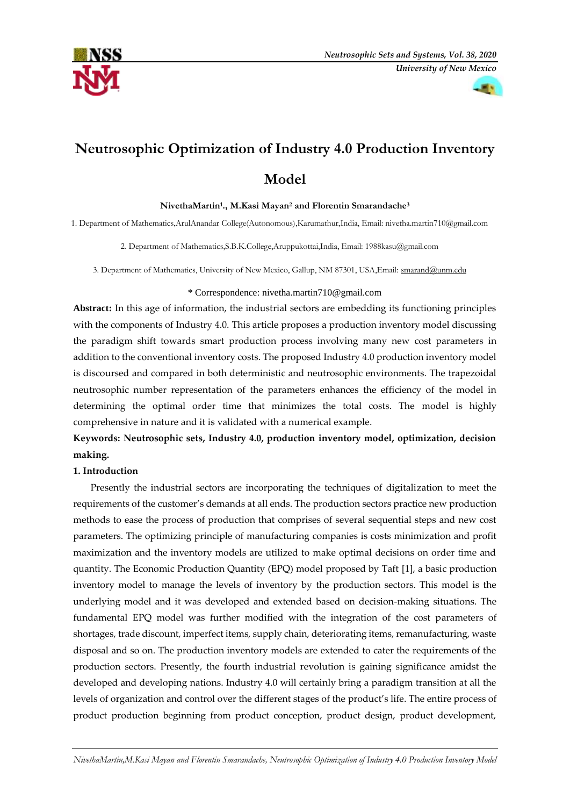



# **Neutrosophic Optimization of Industry 4.0 Production Inventory**

## **Model**

## **NivethaMartin<sup>1</sup> ., M.Kasi Mayan<sup>2</sup> and Florentin Smarandache<sup>3</sup>**

1. Department of Mathematics,ArulAnandar College(Autonomous),Karumathur,India, Email: nivetha.martin710@gmail.com

2. Department of Mathematics,S.B.K.College,Aruppukottai,India, Email: 1988kasu@gmail.com

3. Department of Mathematics, University of New Mexico, Gallup, NM 87301, USA,Email: [smarand@unm.edu](mailto:smarand@unm.edu)

## \* Correspondence: nivetha.martin710@gmail.com

**Abstract:** In this age of information, the industrial sectors are embedding its functioning principles with the components of Industry 4.0. This article proposes a production inventory model discussing the paradigm shift towards smart production process involving many new cost parameters in addition to the conventional inventory costs. The proposed Industry 4.0 production inventory model is discoursed and compared in both deterministic and neutrosophic environments. The trapezoidal neutrosophic number representation of the parameters enhances the efficiency of the model in determining the optimal order time that minimizes the total costs. The model is highly comprehensive in nature and it is validated with a numerical example.

## **Keywords: Neutrosophic sets, Industry 4.0, production inventory model, optimization, decision making.**

### **1. Introduction**

Presently the industrial sectors are incorporating the techniques of digitalization to meet the requirements of the customer's demands at all ends. The production sectors practice new production methods to ease the process of production that comprises of several sequential steps and new cost parameters. The optimizing principle of manufacturing companies is costs minimization and profit maximization and the inventory models are utilized to make optimal decisions on order time and quantity. The Economic Production Quantity (EPQ) model proposed by Taft [1], a basic production inventory model to manage the levels of inventory by the production sectors. This model is the underlying model and it was developed and extended based on decision-making situations. The fundamental EPQ model was further modified with the integration of the cost parameters of shortages, trade discount, imperfect items, supply chain, deteriorating items, remanufacturing, waste disposal and so on. The production inventory models are extended to cater the requirements of the production sectors. Presently, the fourth industrial revolution is gaining significance amidst the developed and developing nations. Industry 4.0 will certainly bring a paradigm transition at all the levels of organization and control over the different stages of the product's life. The entire process of product production beginning from product conception, product design, product development,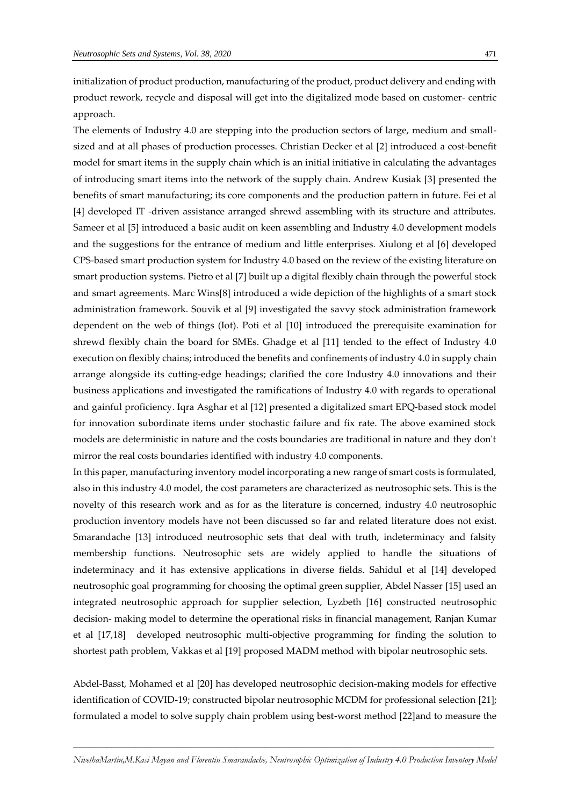initialization of product production, manufacturing of the product, product delivery and ending with

product rework, recycle and disposal will get into the digitalized mode based on customer- centric approach.

The elements of Industry 4.0 are stepping into the production sectors of large, medium and smallsized and at all phases of production processes. Christian Decker et al [2] introduced a cost-benefit model for smart items in the supply chain which is an initial initiative in calculating the advantages of introducing smart items into the network of the supply chain. Andrew Kusiak [3] presented the benefits of smart manufacturing; its core components and the production pattern in future. Fei et al [4] developed IT -driven assistance arranged shrewd assembling with its structure and attributes. Sameer et al [5] introduced a basic audit on keen assembling and Industry 4.0 development models and the suggestions for the entrance of medium and little enterprises. Xiulong et al [6] developed CPS-based smart production system for Industry 4.0 based on the review of the existing literature on smart production systems. Pietro et al [7] built up a digital flexibly chain through the powerful stock and smart agreements. Marc Wins[8] introduced a wide depiction of the highlights of a smart stock administration framework. Souvik et al [9] investigated the savvy stock administration framework dependent on the web of things (Iot). Poti et al [10] introduced the prerequisite examination for shrewd flexibly chain the board for SMEs. Ghadge et al [11] tended to the effect of Industry 4.0 execution on flexibly chains; introduced the benefits and confinements of industry 4.0 in supply chain arrange alongside its cutting-edge headings; clarified the core Industry 4.0 innovations and their business applications and investigated the ramifications of Industry 4.0 with regards to operational and gainful proficiency. Iqra Asghar et al [12] presented a digitalized smart EPQ-based stock model for innovation subordinate items under stochastic failure and fix rate. The above examined stock models are deterministic in nature and the costs boundaries are traditional in nature and they don't mirror the real costs boundaries identified with industry 4.0 components.

In this paper, manufacturing inventory model incorporating a new range of smart costs is formulated, also in this industry 4.0 model, the cost parameters are characterized as neutrosophic sets. This is the novelty of this research work and as for as the literature is concerned, industry 4.0 neutrosophic production inventory models have not been discussed so far and related literature does not exist. Smarandache [13] introduced neutrosophic sets that deal with truth, indeterminacy and falsity membership functions. Neutrosophic sets are widely applied to handle the situations of indeterminacy and it has extensive applications in diverse fields. Sahidul et al [14] developed neutrosophic goal programming for choosing the optimal green supplier, Abdel Nasser [15] used an integrated neutrosophic approach for supplier selection, Lyzbeth [16] constructed neutrosophic decision- making model to determine the operational risks in financial management, Ranjan Kumar et al [17,18] developed neutrosophic multi-objective programming for finding the solution to shortest path problem, Vakkas et al [19] proposed MADM method with bipolar neutrosophic sets.

Abdel-Basst, Mohamed et al [20] has developed neutrosophic decision-making models for effective identification of COVID-19; constructed bipolar neutrosophic MCDM for professional selection [21]; formulated a model to solve supply chain problem using best-worst method [22]and to measure the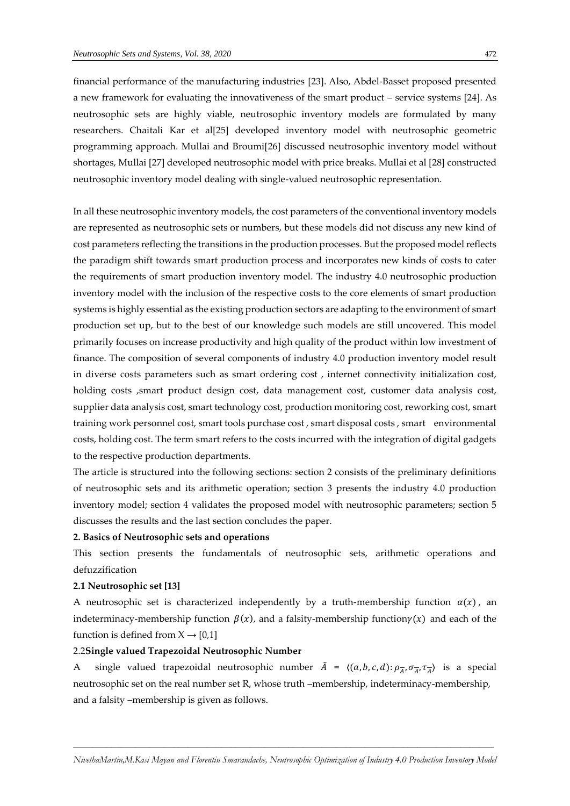financial performance of the manufacturing industries [23]. Also, Abdel-Basset proposed presented a new framework for evaluating the innovativeness of the smart product – service systems [24]. As neutrosophic sets are highly viable, neutrosophic inventory models are formulated by many researchers. Chaitali Kar et al[25] developed inventory model with neutrosophic geometric programming approach. Mullai and Broumi[26] discussed neutrosophic inventory model without shortages, Mullai [27] developed neutrosophic model with price breaks. Mullai et al [28] constructed neutrosophic inventory model dealing with single-valued neutrosophic representation.

In all these neutrosophic inventory models, the cost parameters of the conventional inventory models are represented as neutrosophic sets or numbers, but these models did not discuss any new kind of cost parameters reflecting the transitions in the production processes. But the proposed model reflects the paradigm shift towards smart production process and incorporates new kinds of costs to cater the requirements of smart production inventory model. The industry 4.0 neutrosophic production inventory model with the inclusion of the respective costs to the core elements of smart production systems is highly essential as the existing production sectors are adapting to the environment of smart production set up, but to the best of our knowledge such models are still uncovered. This model primarily focuses on increase productivity and high quality of the product within low investment of finance. The composition of several components of industry 4.0 production inventory model result in diverse costs parameters such as smart ordering cost , internet connectivity initialization cost, holding costs ,smart product design cost, data management cost, customer data analysis cost, supplier data analysis cost, smart technology cost, production monitoring cost, reworking cost, smart training work personnel cost, smart tools purchase cost , smart disposal costs , smart environmental costs, holding cost. The term smart refers to the costs incurred with the integration of digital gadgets to the respective production departments.

The article is structured into the following sections: section 2 consists of the preliminary definitions of neutrosophic sets and its arithmetic operation; section 3 presents the industry 4.0 production inventory model; section 4 validates the proposed model with neutrosophic parameters; section 5 discusses the results and the last section concludes the paper.

#### **2. Basics of Neutrosophic sets and operations**

This section presents the fundamentals of neutrosophic sets, arithmetic operations and defuzzification

#### **2.1 Neutrosophic set [13]**

A neutrosophic set is characterized independently by a truth-membership function  $\alpha(x)$ , an indeterminacy-membership function  $\beta(x)$ , and a falsity-membership function $\gamma(x)$  and each of the function is defined from  $X \rightarrow [0,1]$ 

#### 2.2**Single valued Trapezoidal Neutrosophic Number**

A single valued trapezoidal neutrosophic number  $\tilde{A} = \langle (a, b, c, d) : \rho_{\overline{A}}, \sigma_{\overline{A}}, \tau_{\overline{A}} \rangle$  is a special neutrosophic set on the real number set R, whose truth –membership, indeterminacy-membership, and a falsity –membership is given as follows.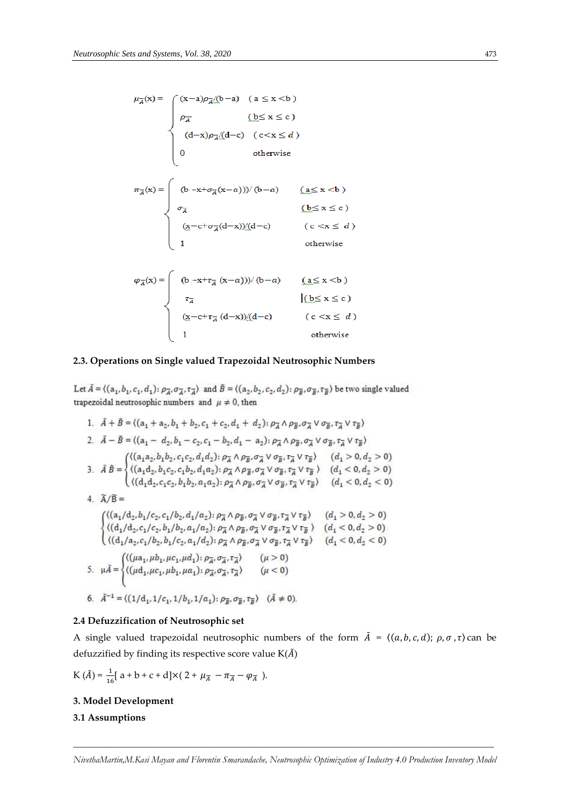$\mu_{\overline{A}}(x) = \begin{cases} (x-a)\rho_{\overline{A}}(b-a) & (a \le x < b) \\ \rho_{\overline{A}} & (b \le x \le c) \\ (d-x)\rho_{\overline{A}}(d-c) & (c < x \le d) \\ 0 & \text{otherwise} \end{cases}$  $\pi_{\overline{A}}(x) = \begin{cases} (b - x + \sigma_{\overline{A}}(x - a)) \vee (b - a) & (\underline{a} \le x < b) \\ \sigma_{\overline{A}} & (\underline{b} \le x \le c) \\ (x - c + \sigma_{\overline{A}}(d - x)) \vee (d - c) & (c < x \le d) \\ 1 & otherwise \end{cases}$  $\varphi_{\overline{A}}(x) = \begin{cases} (b - x + \tau_{\overline{A}} (x - a)) / (b - a) & (\underline{a} \le x < b) \\ \tau_{\overline{A}} & |(\underline{b} \le x \le c) \\ (x - c + \tau_{\overline{A}} (d - x)) / (d - c) & (c < x \le d) \\ 1 & \text{otherwise} \end{cases}$ 

## **2.3. Operations on Single valued Trapezoidal Neutrosophic Numbers**

Let  $\tilde{A} = \langle (a_1, b_1, c_1, d_1) : \rho_{\overline{A}}, \sigma_{\overline{A}}, \tau_{\overline{A}} \rangle$  and  $\tilde{B} = \langle (a_2, b_2, c_2, d_2) : \rho_{\overline{B}}, \sigma_{\overline{B}}, \tau_{\overline{B}} \rangle$  be two single valued trapezoidal neutrosophic numbers and  $\mu \neq 0$ , then

1. 
$$
\vec{A} + \vec{B} = \langle (a_1 + a_2, b_1 + b_2, c_1 + c_2, d_1 + d_2) : \rho_{\vec{A}} \wedge \rho_{\vec{B}}, \sigma_{\vec{A}} \vee \sigma_{\vec{B}}, \tau_{\vec{A}} \vee \tau_{\vec{B}} \rangle
$$
  
\n2.  $\vec{A} - \vec{B} = \langle (a_1 - d_2, b_1 - c_2, c_1 - b_2, d_1 - a_2) : \rho_{\vec{A}} \wedge \rho_{\vec{B}}, \sigma_{\vec{A}} \vee \sigma_{\vec{B}}, \tau_{\vec{A}} \vee \tau_{\vec{B}} \rangle$   
\n
$$
\langle ((a_1a_2, b_1b_2, c_1c_2, d_1d_2) : \rho_{\vec{A}} \wedge \rho_{\vec{B}}, \sigma_{\vec{A}} \vee \sigma_{\vec{B}}, \tau_{\vec{A}} \vee \tau_{\vec{B}} \rangle
$$
\n
$$
\langle (d_1 > 0, d_2 > 0) \rangle
$$
\n3.  $\vec{A} \vec{B} = \begin{cases} \langle (a_1a_2, b_1c_2, c_1c_2, d_1d_2) : \rho_{\vec{A}} \wedge \rho_{\vec{B}}, \sigma_{\vec{A}} \vee \sigma_{\vec{B}}, \tau_{\vec{A}} \vee \tau_{\vec{B}} \rangle & (d_1 > 0, d_2 > 0) \\ \langle (d_1d_2, c_1c_2, b_1b_2, a_1a_2) : \rho_{\vec{A}} \wedge \rho_{\vec{B}}, \sigma_{\vec{A}} \vee \sigma_{\vec{B}}, \tau_{\vec{A}} \vee \tau_{\vec{B}} \rangle & (d_1 < 0, d_2 < 0) \end{cases}$ \n4.  $\vec{A}/\vec{B} =$   
\n
$$
\begin{cases} \langle (a_1/d_2, b_1/c_2, c_1/b_2, d_1/a_2) : \rho_{\vec{A}} \wedge \rho_{\vec{B}}, \sigma_{\vec{A}} \vee \sigma_{\vec{B}}, \tau_{\vec{A}} \vee \tau_{\vec{B}} \rangle & (d_1 < 0, d_2 < 0) \\ \langle (d_
$$

#### **2.4 Defuzzification of Neutrosophic set**

A single valued trapezoidal neutrosophic numbers of the form  $\tilde{A} = \langle (a, b, c, d) ; \rho, \sigma, \tau \rangle$  can be defuzzified by finding its respective score value  $K(\tilde{A})$ 

$$
K(\tilde{A}) = \frac{1}{16} [a + b + c + d] \times (2 + \mu_{\overline{A}} - \pi_{\overline{A}} - \varphi_{\overline{A}}).
$$

#### **3. Model Development**

## **3.1 Assumptions**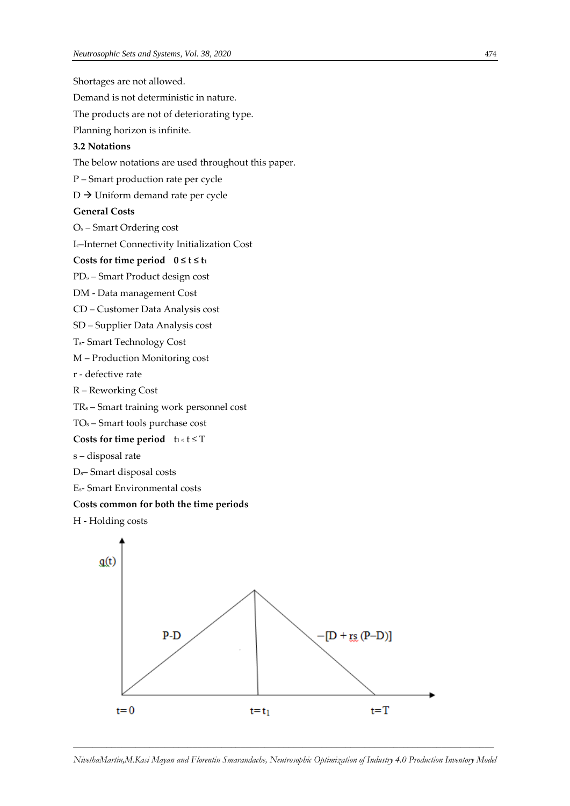Shortages are not allowed. Demand is not deterministic in nature. The products are not of deteriorating type. Planning horizon is infinite. **3.2 Notations** The below notations are used throughout this paper. P – Smart production rate per cycle  $D \rightarrow$  Uniform demand rate per cycle **General Costs** O<sup>s</sup> – Smart Ordering cost Ic–Internet Connectivity Initialization Cost Costs for time period  $0 \le t \le t_1$ PD<sup>s</sup> – Smart Product design cost DM - Data management Cost CD – Customer Data Analysis cost SD – Supplier Data Analysis cost Ts- Smart Technology Cost M – Production Monitoring cost r - defective rate R – Reworking Cost TR<sup>s</sup> – Smart training work personnel cost TO<sup>s</sup> – Smart tools purchase cost **Costs for time period**  $t_1 \le t \le T$ s – disposal rate Ds– Smart disposal costs Es- Smart Environmental costs **Costs common for both the time periods**  H - Holding costs $q(t)$ P-D  $-[D + rs(P-D)]$ 

 $t=0$ 

 $t = t_1$ 

 $t=T$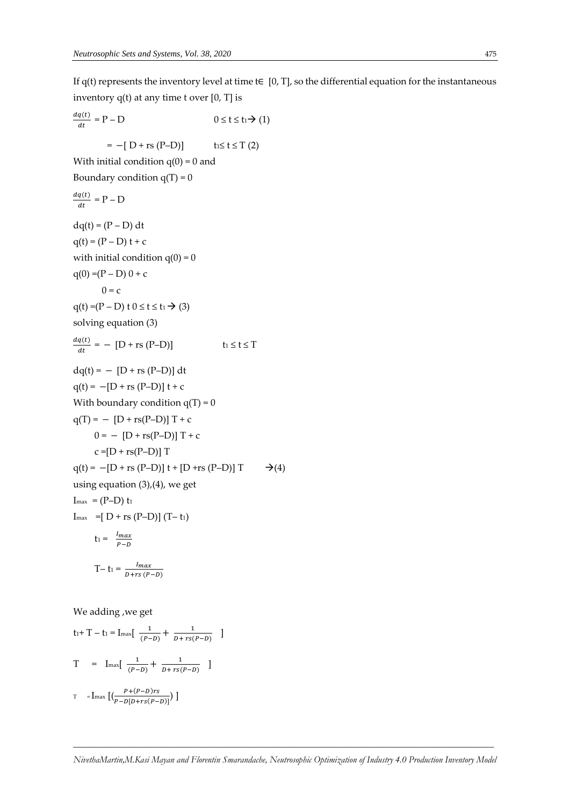If  $q(t)$  represents the inventory level at time t $\in [0, T]$ , so the differential equation for the instantaneous inventory q(t) at any time t over [0, T] is

$$
\frac{dq(t)}{dt} = P - D \t 0 \le t \le t_1 \rightarrow (1)
$$
\n
$$
= -[D + rs (P-D)] \t t_1 \le t \le T (2)
$$
\nWith initial condition q(0) = 0 and\nBoundary condition q(T) = 0\n
$$
\frac{dq(t)}{dt} = P - D
$$
\n
$$
dq(t) = (P - D) dt
$$
\n
$$
q(t) = (P - D) t + c
$$
\nwith initial condition q(0) = 0\n
$$
q(0) = (P - D) 0 + c
$$
\n
$$
0 = c
$$
\n
$$
q(t) = (P - D) t 0 \le t \le t_1 \rightarrow (3)
$$
\nsolving equation (3)\n
$$
\frac{dq(t)}{dt} = - [D + rs (P-D)] \t t_1 \le t \le T
$$
\n
$$
dq(t) = -[D + rs (P-D)] \t t + c
$$
\nWith boundary condition q(T) = 0\n
$$
q(T) = - [D + rs (P-D)] \t T + c
$$
\n
$$
0 = - [D + rs (P-D)] \t T + c
$$
\n
$$
c = [D + rs (P-D)] \t T
$$
\n
$$
q(t) = -[D + rs (P-D)] \t T + c
$$
\n
$$
c = [D + rs (P-D)] \t T + c
$$
\n
$$
c = [D + rs (P-D)] \t T + c
$$
\n
$$
c = [D + rs (P-D)] \t T + c
$$
\n
$$
l = \frac{[D + rs (P-D)]}{P-D} \t l
$$
\n
$$
l = \frac{l_{max}}{P-D}
$$
\n
$$
l = \frac{l_{max}}{P + rs (P-D)}
$$
\n
$$
l = \frac{l_{max}}{P + rs (P-D)}
$$

We adding ,we get

$$
t_1 + T - t_1 = I_{\text{max}} \left[ \frac{1}{(P-D)} + \frac{1}{D + rs(P-D)} \right]
$$
  
\n
$$
T = I_{\text{max}} \left[ \frac{1}{(P-D)} + \frac{1}{D + rs(P-D)} \right]
$$
  
\n
$$
T = I_{\text{max}} \left[ \left( \frac{P + (P-D)rs}{P-D[D + rs(P-D)]} \right) \right]
$$

*\_\_\_\_\_\_\_\_\_\_\_\_\_\_\_\_\_\_\_\_\_\_\_\_\_\_\_\_\_\_\_\_\_\_\_\_\_\_\_\_\_\_\_\_\_\_\_\_\_\_\_\_\_\_\_\_\_\_\_\_\_\_\_\_\_\_\_\_\_\_\_\_\_\_\_\_\_\_\_\_\_\_\_\_\_\_\_\_*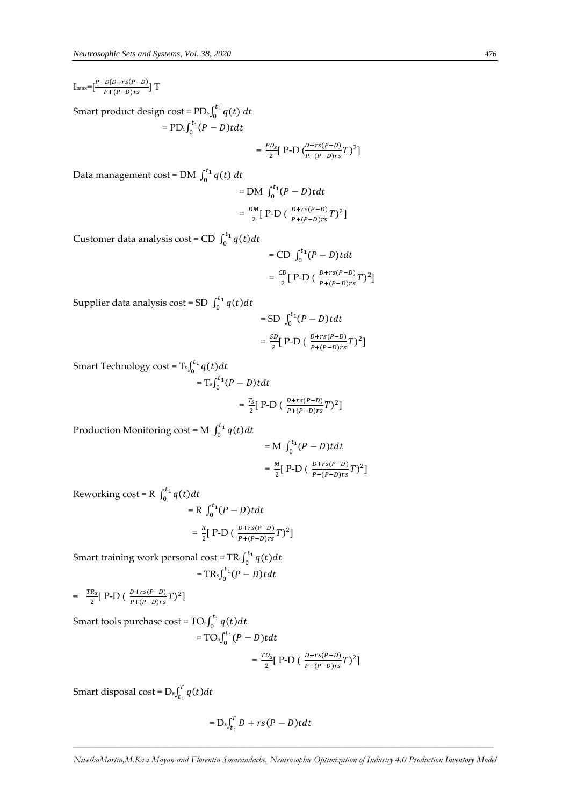$\text{Imax} = \left[\frac{P-D[D+rs(P-D)}{P+(P-D)rs}\right]$  T

Smart product design cost =  $\text{PD}_s \int_0^{t_1} q(t) dt$ <br>=  $\text{PD}_s \int_0^{t_1} (P - D) t dt$ 

$$
= \frac{p_{D_S}}{2} [ \text{ P-D } (\frac{D + rs(P - D)}{P + (P - D)rs}T)^2 ]
$$

Data management cost = DM  $\int_0^{t_1} q(t) dt$ 

$$
= \text{DM} \int_0^{t_1} (P - D) t dt
$$

$$
= \frac{DM}{2} \left[ \text{ P-D} \left( \frac{D + rs(P - D)}{P + (P - D)rs} T \right)^2 \right]
$$

Customer data analysis cost = CD  $\int_0^{t_1} q(t) dt$ 

$$
= CD \int_0^{t_1} (P - D) t dt
$$

$$
= \frac{cD}{2} [P-D \left( \frac{D + rs(P - D)}{P + (P - D)rs} T \right)^2]
$$

Supplier data analysis cost = SD  $\int_0^{t_1} q(t) dt$ 

$$
= SD \int_0^{t_1} (P - D) t dt
$$

$$
= \frac{SD}{2} [PD \left( \frac{D + rs(P - D)}{P + (P - D)rs} T \right)^2]
$$

Smart Technology cost =  $\mathrm{T_s}\!\!\int_0^{t_1}q(t)dt$ 

$$
=Ts\int_0^{t_1}(P-D)tdt
$$

$$
=\frac{T_s}{2}\left[P-D\left(\frac{D+rs(P-D)}{P+(P-D)rs}T\right)^2\right]
$$

Production Monitoring cost = M  $\int_0^{t_1} q(t) dt$ 

$$
= \mathbf{M} \int_0^{t_1} (P - D) t dt
$$

$$
= \frac{M}{2} [\mathbf{P} \cdot \mathbf{D} \left( \frac{D + r s (P - D)}{P + (P - D) r s} T \right)^2]
$$

Reworking cost = R  $\int_0^{t_1} q(t) dt$ 

$$
= R \int_0^{t_1} (P - D) t dt
$$
  
=  $\frac{R}{2}$  [ P-D ( $\frac{D + rs(P - D)}{P + (P - D)rs}T$ )<sup>2</sup>]

Smart training work personal cost =  $\text{TR}_\text{s} \int_0^{t_1} q(t) dt$  $=$  TRs $\int_0^{t_1} (P-D)t dt$ 

$$
= \frac{TR_S}{2} [ \text{ P-D} \left( \frac{D + rs(P - D)}{P + (P - D)rs} T \right)^2 ]
$$

Smart tools purchase cost = TO<sub>s</sub> $\int_0^{t_1} q(t) dt$ <br>= TO<sub>s</sub> $\int_0^{t_1} (P - D) t dt$ 

$$
= \text{TO}_s \int_0^{t_1} (P - D) t dt
$$
  
=  $\frac{T O_s}{2} [\text{ P-D } (\frac{D + rs(P - D)}{P + (P - D)rs}T)^2]$ 

Smart disposal cost =  $\mathbf{D}_s \int_{t_1}^T q(t) dt$ 

$$
=D_{\rm s}\int_{t_1}^T D + rs(P - D) t dt
$$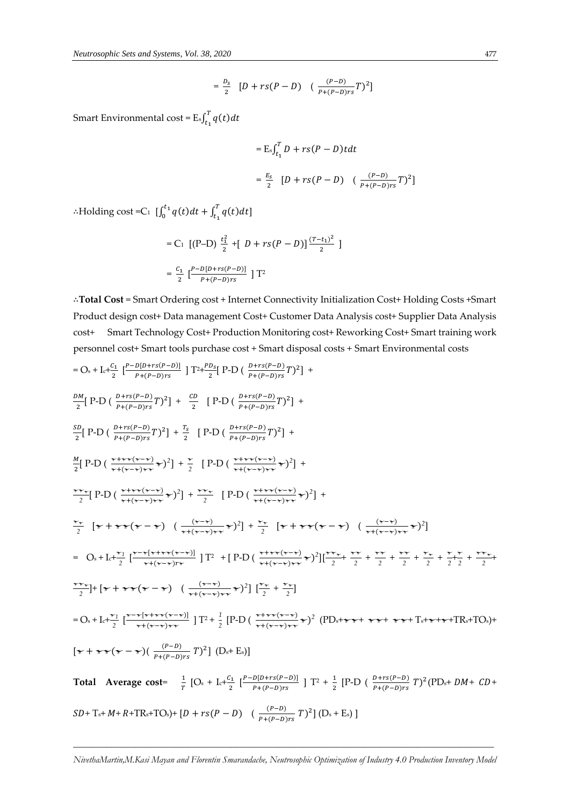$$
= \frac{D_S}{2} \left[ D + rs(P - D) \left( \frac{(P - D)}{P + (P - D)rs} T \right)^2 \right]
$$

Smart Environmental cost =  $\mathrm{E}\mathrm{s}\!\int_{t_{1}}^{T}q(t)dt$ 

$$
= \mathcal{E}_s \int_{t_1}^T D + rs(P - D) t dt
$$

$$
= \frac{E_s}{2} \left[ D + rs(P - D) \left( \frac{(P - D)}{P + (P - D)rs} T \right)^2 \right]
$$

∴Holding cost =C<sub>1</sub>  $\int_0^{t_1} q(t) dt$  +  $\int_0^{t_1} q(t)dt + \int_{t_1}^T q(t)dt$ 

$$
= C_1 \left[ (P-D) \frac{t_1^2}{2} + [D + rs(P - D)] \frac{(T-t_1)^2}{2} \right]
$$

$$
= \frac{C_1}{2} \left[ \frac{P - D[D + rs(P - D)]}{P + (P - D)rs} \right] T^2
$$

∴**Total Cost** = Smart Ordering cost + Internet Connectivity Initialization Cost+ Holding Costs +Smart Product design cost+ Data management Cost+ Customer Data Analysis cost+ Supplier Data Analysis cost+ Smart Technology Cost+ Production Monitoring cost+ Reworking Cost+ Smart training work personnel cost+ Smart tools purchase cost + Smart disposal costs + Smart Environmental costs

= O<sub>s</sub> + L<sub>c</sub>
$$
\frac{C_1}{2}
$$
  $\frac{P-D[D+rs(P-D)]}{P+(P-D)rs}$   $\frac{1}{2}[P-D(\frac{p+rs(P-D)}{P+(P-D)rs}T)^2] +$   
\n $\frac{DM}{2}[P-D(\frac{p+rs(P-D)}{P+(P-D)rs}T)^2] + \frac{CD}{2}[P-D(\frac{p+rs(P-D)}{P+(P-D)rs}T)^2] +$   
\n $\frac{SD}{2}[P-D(\frac{p+rs(P-D)}{P+(P-D)rs}T)^2] + \frac{TS}{2}[P-D(\frac{p+rs(P-D)}{P+(P-D)rs}T)^2] +$   
\n $\frac{M}{2}[P-D(\frac{r+rs(r-r)}{r+(r-r)+r}r)^2] + \frac{rs}{2}[P-D(\frac{r+rs(r-r)}{r+(r-r)+r}r)^2] +$   
\n $\frac{rr}{2}[P-D(\frac{r+rs(r-r)}{r+(r-r)+r}r)^2] + \frac{rr}{2}[P-D(\frac{r+rs(r-r)}{r+(r-r)+r}r)^2] +$   
\n $\frac{rr}{2}[P-D(\frac{r+rs(r-r)}{r+(r-r)+r}r)^2] + \frac{rr}{2}[P-D(\frac{r+rs(r-r)}{r+(r-r)+r}r)^2] +$   
\n $\frac{rr}{2}[r + \tau \tau(\tau - \tau) - (\frac{(r-r)}{\tau+(\tau - \tau)+r}r)^2] + \frac{rr}{2}[r + \tau \tau(\tau - \tau) - (\frac{(r-r)}{\tau+(\tau - \tau)+r}r)^2]$   
\n $= O_s + L_t + \frac{rr}{2} [\frac{r-r(r+s(r(r-r))}{r+(r-r)+r}r]^2] + [P-D(\frac{r+s(r(r-r))}{r+(r-r)+r}r)^2] [\frac{rr}{2} + \frac{rr}{2} + \frac{rr}{2} + \frac{rr}{2} + \frac{rr}{2} + \frac{rr}{2} + \frac{rr}{2} + \frac{rr}{2} + \frac{rr}{2} +$   
\n $\frac{rr}{2}[r + \tau(\tau - \tau) - (\frac{(r-r)}{r+(r-r)+r}r)^2] + \frac{rr}{2}[P-D(\frac{r+s(r-r)}{r+(r-r)+r}r)^2] [\frac{rr}{2} + \frac{rr}{2} + \frac{rr}{2} + \frac{$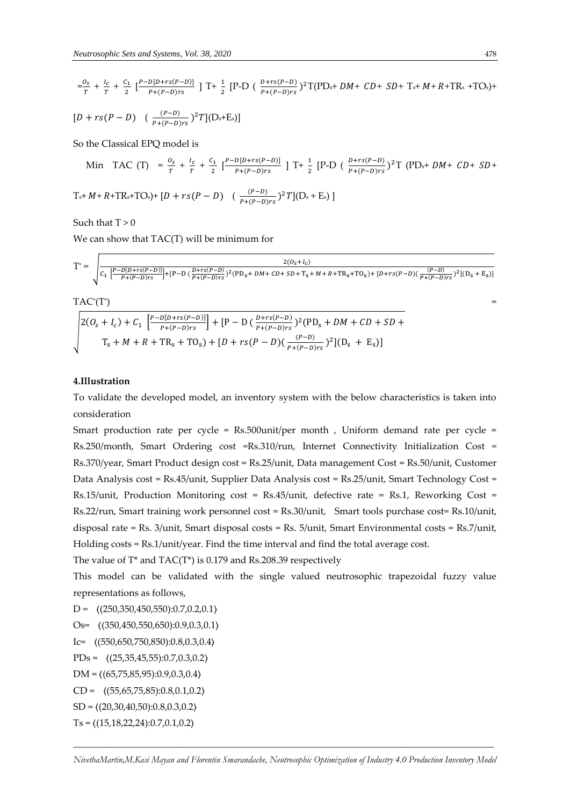$$
=\frac{o_s}{r}+\frac{l_c}{r}+\frac{c_1}{2}\,[\frac{P-D[D+rs(P-D)]}{P+(P-D)rs}\,]\,T+\frac{1}{2}\,[\text{P-D}\,\,(\,\frac{D+rs(P-D)}{P+(P-D)rs})^2\,T(\text{PD}_s+DM+\,CD+\,SD+\,Ts+M+R+TR_s\,+T\text{O}_s)+
$$

$$
[D + rs(P - D) \quad (\frac{(P - D)}{P + (P - D)rs})^2 T](D_s + E_s)]
$$

So the Classical EPQ model is

Min TAC (T) = 
$$
\frac{0_s}{T} + \frac{l_c}{T} + \frac{c_1}{2} \left[ \frac{P - D[D + rs(P - D)]}{P + (P - D)rs} \right]
$$
 T +  $\frac{1}{2} \left[ P - D \left( \frac{D + rs(P - D)}{P + (P - D)rs} \right)^2 \right]$  (PDs + DM + CD + SD +

T<sub>s</sub>+M+R+TR<sub>s</sub>+TO<sub>s</sub>)+[D + rs(P – D) 
$$
(\frac{(P-D)}{P+(P-D)rs})^2T[(D_s + E_s)]
$$

Such that  $T > 0$ 

We can show that TAC(T) will be minimum for

$$
T^* = \sqrt{\frac{2(O_S + I_c)}{C_1 \left[\frac{P - D[D + rs(P - D)]}{P + (P - D)rs}\right] + [P - D(\frac{D + rs(P - D)}{P + (P - D)rs})^2 (PD_S + DM + CD + SD + T_S + M + R + TR_S + TO_S) + [D + rs(P - D)(\frac{(P - D)}{P + (P - D)rs})^2](D_S + E_S)]}}
$$

TAC\* (T\* ) and the contract of the contract of  $\mathcal{L} =$ 

$$
\sqrt{\frac{2(O_s + I_c) + C_1 \left[\frac{P - D[D + rs(P - D)]}{P + (P - D)rs}\right] + [P - D \left(\frac{D + rs(P - D)}{P + (P - D)rs}\right)^2 (PD_s + DM + CD + SD + T_s + MR_s + TO_s) + [D + rs(P - D) \left(\frac{(P - D)}{P + (P - D)rs}\right)^2](D_s + E_s)]}
$$

#### **4.Illustration**

To validate the developed model, an inventory system with the below characteristics is taken into consideration

Smart production rate per cycle = Rs.500unit/per month , Uniform demand rate per cycle = Rs.250/month, Smart Ordering cost =Rs.310/run, Internet Connectivity Initialization Cost = Rs.370/year, Smart Product design cost = Rs.25/unit, Data management Cost = Rs.50/unit, Customer Data Analysis cost = Rs.45/unit, Supplier Data Analysis cost = Rs.25/unit, Smart Technology Cost = Rs.15/unit, Production Monitoring cost = Rs.45/unit, defective rate = Rs.1, Reworking Cost = Rs.22/run, Smart training work personnel cost = Rs.30/unit, Smart tools purchase cost= Rs.10/unit, disposal rate = Rs. 3/unit, Smart disposal costs = Rs. 5/unit, Smart Environmental costs = Rs.7/unit, Holding costs = Rs.1/unit/year. Find the time interval and find the total average cost.

The value of T\* and TAC(T\*) is 0.179 and Rs.208.39 respectively

This model can be validated with the single valued neutrosophic trapezoidal fuzzy value representations as follows,

 $D = \langle (250,350,450,550):0.7,0.2,0.1 \rangle$ 

Os= 〈(350,450,550,650):0.9,0.3,0.1〉

Ic= 〈(550,650,750,850):0.8,0.3,0.4〉

 $PDs = \langle (25,35,45,55): 0.7, 0.3, 0.2 \rangle$ 

DM = 〈(65,75,85,95):0.9,0.3,0.4〉

CD = 〈(55,65,75,85):0.8,0.1,0.2〉

 $SD = \langle (20, 30, 40, 50) : 0.8, 0.3, 0.2 \rangle$ 

 $Ts = \langle (15, 18, 22, 24); 0.7, 0.1, 0.2 \rangle$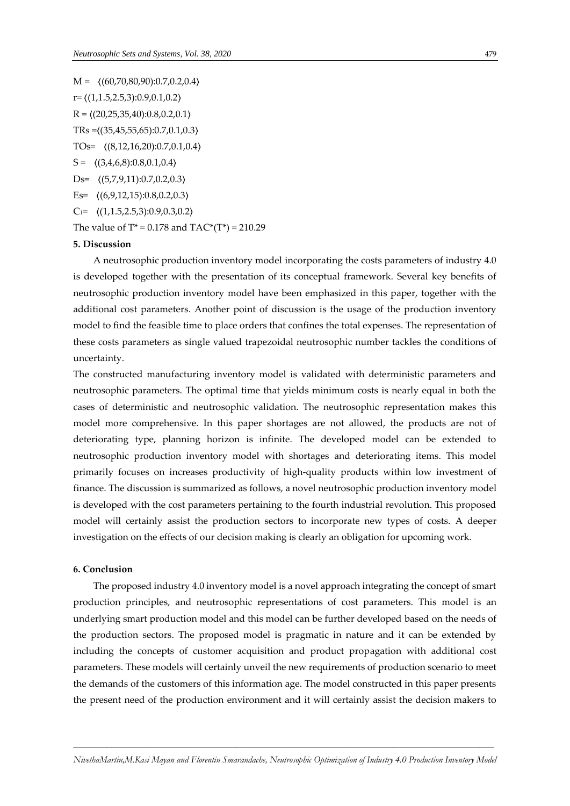$M = \langle (60, 70, 80, 90); 0.7, 0.2, 0.4 \rangle$ r= 〈(1,1.5,2.5,3):0.9,0.1,0.2〉  $R = \langle (20, 25, 35, 40): 0.8, 0.2, 0.1 \rangle$ TRs =〈(35,45,55,65):0.7,0.1,0.3〉 TOs= 〈(8,12,16,20):0.7,0.1,0.4〉  $S = \langle (3,4,6,8): 0.8, 0.1, 0.4 \rangle$ Ds= 〈(5,7,9,11):0.7,0.2,0.3〉 Es=  $\langle (6,9,12,15):0.8,0.2,0.3 \rangle$  $C_1 = \langle (1,1.5,2.5,3):0.9,0.3,0.2 \rangle$ The value of  $T^* = 0.178$  and  $TAC^*(T^*) = 210.29$ 

#### **5. Discussion**

A neutrosophic production inventory model incorporating the costs parameters of industry 4.0 is developed together with the presentation of its conceptual framework. Several key benefits of neutrosophic production inventory model have been emphasized in this paper, together with the additional cost parameters. Another point of discussion is the usage of the production inventory model to find the feasible time to place orders that confines the total expenses. The representation of these costs parameters as single valued trapezoidal neutrosophic number tackles the conditions of uncertainty.

The constructed manufacturing inventory model is validated with deterministic parameters and neutrosophic parameters. The optimal time that yields minimum costs is nearly equal in both the cases of deterministic and neutrosophic validation. The neutrosophic representation makes this model more comprehensive. In this paper shortages are not allowed, the products are not of deteriorating type, planning horizon is infinite. The developed model can be extended to neutrosophic production inventory model with shortages and deteriorating items. This model primarily focuses on increases productivity of high-quality products within low investment of finance. The discussion is summarized as follows, a novel neutrosophic production inventory model is developed with the cost parameters pertaining to the fourth industrial revolution. This proposed model will certainly assist the production sectors to incorporate new types of costs. A deeper investigation on the effects of our decision making is clearly an obligation for upcoming work.

### **6. Conclusion**

The proposed industry 4.0 inventory model is a novel approach integrating the concept of smart production principles, and neutrosophic representations of cost parameters. This model is an underlying smart production model and this model can be further developed based on the needs of the production sectors. The proposed model is pragmatic in nature and it can be extended by including the concepts of customer acquisition and product propagation with additional cost parameters. These models will certainly unveil the new requirements of production scenario to meet the demands of the customers of this information age. The model constructed in this paper presents the present need of the production environment and it will certainly assist the decision makers to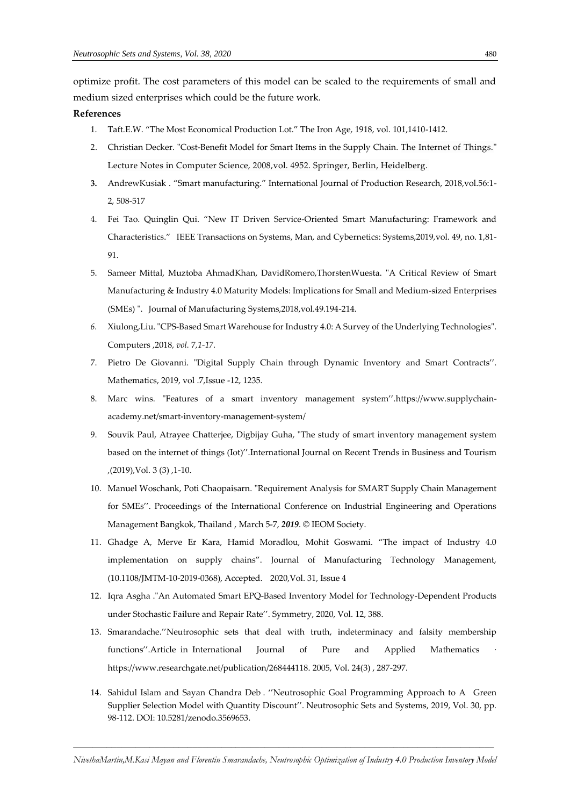optimize profit. The cost parameters of this model can be scaled to the requirements of small and medium sized enterprises which could be the future work.

#### **References**

- 1. Taft.E.W. "The Most Economical Production Lot." The Iron Age, 1918, vol. 101,1410-1412.
- 2. Christian Decker. "Cost-Benefit Model for Smart Items in the Supply Chain. The Internet of Things." Lecture Notes in Computer Science, 2008,vol. 4952. Springer, Berlin, Heidelberg.
- **3.** AndrewKusiak . "Smart manufacturing." International Journal of Production Research, 2018,vol.56:1- 2, 508-517
- 4. Fei Tao. Quinglin Qui. "New IT Driven Service-Oriented Smart Manufacturing: Framework and Characteristics." IEEE Transactions on Systems, Man, and Cybernetics: Systems,2019,vol. 49, no. 1,81- 91.
- 5. Sameer Mittal, Muztoba AhmadKhan, DavidRomero,ThorstenWuesta. "A Critical Review of Smart Manufacturing & Industry 4.0 Maturity Models: Implications for Small and Medium-sized Enterprises (SMEs) ". Journal of Manufacturing Systems,2018,vol.49.194-214.
- *6.* Xiulong,Liu. "CPS-Based Smart Warehouse for Industry 4.0: A Survey of the Underlying Technologies". Computers ,2018*, vol.* 7*,1-17.*
- 7. Pietro De Giovanni. "Digital Supply Chain through Dynamic Inventory and Smart Contracts''. Mathematics, 2019, vol .7,Issue -12, 1235.
- 8. Marc wins. "Features of a smart inventory management system''.[https://www.supplychain](https://www.supplychain-academy.net/smart-inventory-management-system/)[academy.net/smart-inventory-management-system/](https://www.supplychain-academy.net/smart-inventory-management-system/)
- 9. Souvik Paul, Atrayee Chatterjee, Digbijay Guha, "The study of smart inventory management system based on the internet of things (Iot)''.International Journal on Recent Trends in Business and Tourism ,(2019),Vol. 3 (3) ,1-10.
- 10. Manuel Woschank, Poti Chaopaisarn. "Requirement Analysis for SMART Supply Chain Management for SMEs''. Proceedings of the International Conference on Industrial Engineering and Operations Management Bangkok, Thailand , March 5-7, *2019*. © IEOM Society.
- 11. Ghadge A, Merve Er Kara, Hamid Moradlou, Mohit Goswami. "The impact of Industry 4.0 implementation on supply chains". Journal of Manufacturing Technology Management, (10.1108/JMTM-10-2019-0368), Accepted. 2020,Vol. 31, Issue 4
- 12. Iqra Asgha ."An Automated Smart EPQ-Based Inventory Model for Technology-Dependent Products under Stochastic Failure and Repair Rate''. Symmetry, 2020, Vol. 12, 388.
- 13. Smarandache.''Neutrosophic sets that deal with truth, indeterminacy and falsity membership functions".Article in International Journal of Pure and Applied Mathematics [https://www.researchgate.net/publication/268444118.](https://www.researchgate.net/publication/268444118) 2005, Vol. 24(3) , 287-297.
- 14. Sahidul Islam and Sayan Chandra Deb . ''Neutrosophic Goal Programming Approach to A Green Supplier Selection Model with Quantity Discount''. Neutrosophic Sets and Systems, 2019, Vol. 30, pp. 98-112. DOI: 10.5281/zenodo.3569653.